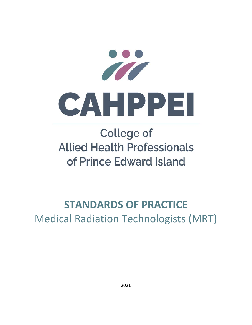

# **College of Allied Health Professionals** of Prince Edward Island

# **STANDARDS OF PRACTICE** Medical Radiation Technologists (MRT)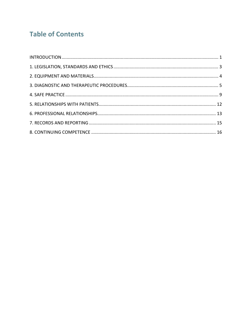# **Table of Contents**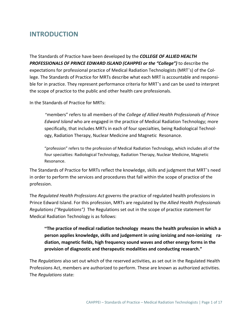### **INTRODUCTION**

The Standards of Practice have been developed by the *COLLEGE OF ALLIED HEALTH PROFESSIONALS OF PRINCE EDWARD ISLAND (CAHPPEI or the "College")* to describe the expectations for professional practice of Medical Radiation Technologists (MRT's) of the Col‐ lege. The Standards of Practice for MRTs describe what each MRT is accountable and responsi‐ ble for in practice. They represent performance criteria for MRT's and can be used to interpret the scope of practice to the public and other health care professionals.

In the Standards of Practice for MRTs:

"members" refers to all members of the *College of Allied Health Professionals of Prince Edward Island* who are engaged in the practice of Medical Radiation Technology; more specifically, that includes MRTs in each of four specialties, being Radiological Technol‐ ogy, Radiation Therapy, Nuclear Medicine and Magnetic Resonance.

"profession" refers to the profession of Medical Radiation Technology, which includes all of the four specialties: Radiological Technology, Radiation Therapy, Nuclear Medicine, Magnetic Resonance.

The Standards of Practice for MRTs reflect the knowledge, skills and judgment that MRT's need in order to perform the services and procedures that fall within the scope of practice of the profession.

The *Regulated Health Professions Act* governs the practice of regulated health professions in Prince Edward Island. For this profession, MRTs are regulated by the *Allied Health Professionals Regulations ("Regulations")* The Regulations set out in the scope of practice statement for Medical Radiation Technology is as follows:

**"The practice of medical radiation technology means the health profession in which a person applies knowledge, skills and judgement in using ionizing and non‐ionizing ra‐ diation, magnetic fields, high frequency sound waves and other energy forms in the provision of diagnostic and therapeutic modalities and conducting research."** 

The *Regulations* also set out which of the reserved activities, as set out in the Regulated Health Professions Act, members are authorized to perform. These are known as authorized activities. The *Regulations* state: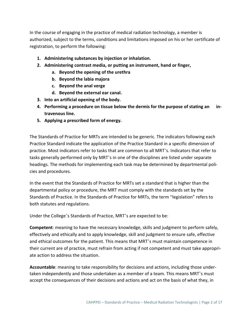In the course of engaging in the practice of medical radiation technology, a member is authorized, subject to the terms, conditions and limitations imposed on his or her certificate of registration, to perform the following:

- **1. Administering substances by injection or inhalation.**
- **2. Administering contrast media, or putting an instrument, hand or finger,** 
	- **a. Beyond the opening of the urethra**
	- **b. Beyond the labia majora**
	- **c. Beyond the anal verge**
	- **d. Beyond the external ear canal.**
- **3. Into an artificial opening of the body.**
- **4. Performing a procedure on tissue below the dermis for the purpose of stating an in‐ travenous line.**
- **5. Applying a prescribed form of energy.**

The Standards of Practice for MRTs are intended to be generic. The indicators following each Practice Standard indicate the application of the Practice Standard in a specific dimension of practice. Most indicators refer to tasks that are common to all MRT's. Indicators that refer to tasks generally performed only by MRT's in one of the disciplines are listed under separate headings. The methods for implementing each task may be determined by departmental policies and procedures.

In the event that the Standards of Practice for MRTs set a standard that is higher than the departmental policy or procedure, the MRT must comply with the standards set by the Standards of Practice. In the Standards of Practice for MRTs, the term "legislation" refers to both statutes and regulations.

Under the College's Standards of Practice, MRT's are expected to be:

**Competent**: meaning to have the necessary knowledge, skills and judgment to perform safely, effectively and ethically and to apply knowledge, skill and judgment to ensure safe, effective and ethical outcomes for the patient. This means that MRT's must maintain competence in their current are of practice, must refrain from acting if not competent and must take appropri‐ ate action to address the situation.

**Accountable**: meaning to take responsibility for decisions and actions, including those under‐ taken independently and those undertaken as a member of a team. This means MRT's must accept the consequences of their decisions and actions and act on the basis of what they, in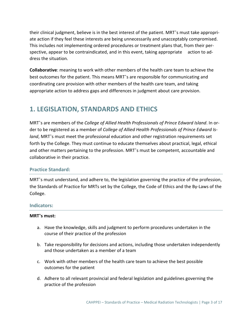their clinical judgment, believe is in the best interest of the patient. MRT's must take appropri‐ ate action if they feel these interests are being unnecessarily and unacceptably compromised. This includes not implementing ordered procedures or treatment plans that, from their per‐ spective, appear to be contraindicated, and in this event, taking appropriate action to address the situation.

**Collaborative**: meaning to work with other members of the health care team to achieve the best outcomes for the patient. This means MRT's are responsible for communicating and coordinating care provision with other members of the health care team, and taking appropriate action to address gaps and differences in judgment about care provision.

# **1. LEGISLATION, STANDARDS AND ETHICS**

MRT's are members of the *College of Allied Health Professionals of Prince Edward Island*. In or‐ der to be registered as a member of *College of Allied Health Professionals of Prince Edward Is‐ land*, MRT's must meet the professional education and other registration requirements set forth by the College. They must continue to educate themselves about practical, legal, ethical and other matters pertaining to the profession. MRT's must be competent, accountable and collaborative in their practice.

#### **Practice Standard:**

MRT's must understand, and adhere to, the legislation governing the practice of the profession, the Standards of Practice for MRTs set by the College, the Code of Ethics and the By‐Laws of the College.

#### **Indicators:**

- a. Have the knowledge, skills and judgment to perform procedures undertaken in the course of their practice of the profession
- b. Take responsibility for decisions and actions, including those undertaken independently and those undertaken as a member of a team
- c. Work with other members of the health care team to achieve the best possible outcomes for the patient
- d. Adhere to all relevant provincial and federal legislation and guidelines governing the practice of the profession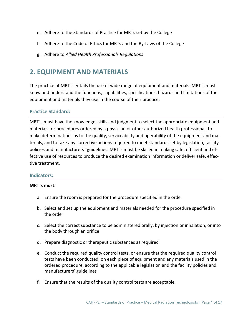- e. Adhere to the Standards of Practice for MRTs set by the College
- f. Adhere to the Code of Ethics for MRTs and the By‐Laws of the College
- g. Adhere to *Allied Health Professionals Regulations*

### **2. EQUIPMENT AND MATERIALS**

The practice of MRT's entails the use of wide range of equipment and materials. MRT's must know and understand the functions, capabilities, specifications, hazards and limitations of the equipment and materials they use in the course of their practice.

#### **Practice Standard:**

MRT's must have the knowledge, skills and judgment to select the appropriate equipment and materials for procedures ordered by a physician or other authorized health professional, to make determinations as to the quality, serviceability and operability of the equipment and ma‐ terials, and to take any corrective actions required to meet standards set by legislation, facility policies and manufacturers 'guidelines. MRT's must be skilled in making safe, efficient and ef‐ fective use of resources to produce the desired examination information or deliver safe, effec‐ tive treatment.

#### **Indicators:**

- a. Ensure the room is prepared for the procedure specified in the order
- b. Select and set up the equipment and materials needed for the procedure specified in the order
- c. Select the correct substance to be administered orally, by injection or inhalation, or into the body through an orifice
- d. Prepare diagnostic or therapeutic substances as required
- e. Conduct the required quality control tests, or ensure that the required quality control tests have been conducted, on each piece of equipment and any materials used in the ordered procedure, according to the applicable legislation and the facility policies and manufacturers' guidelines
- f. Ensure that the results of the quality control tests are acceptable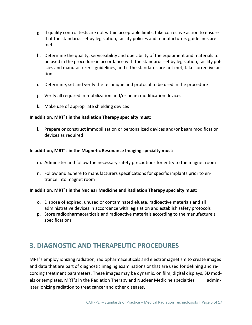- g. If quality control tests are not within acceptable limits, take corrective action to ensure that the standards set by legislation, facility policies and manufacturers guidelines are met
- h. Determine the quality, serviceability and operability of the equipment and materials to be used in the procedure in accordance with the standards set by legislation, facility policies and manufacturers' guidelines, and if the standards are not met, take corrective ac‐ tion
- i. Determine, set and verify the technique and protocol to be used in the procedure
- j. Verify all required immobilization and/or beam modification devices
- k. Make use of appropriate shielding devices

#### **In addition, MRT's in the Radiation Therapy specialty must:**

l. Prepare or construct immobilization or personalized devices and/or beam modification devices as required

#### **In addition, MRT's in the Magnetic Resonance Imaging specialty must:**

- m. Administer and follow the necessary safety precautions for entry to the magnet room
- n. Follow and adhere to manufacturers specifications for specific implants prior to en‐ trance into magnet room

#### **In addition, MRT's in the Nuclear Medicine and Radiation Therapy specialty must:**

- o. Dispose of expired, unused or contaminated eluate, radioactive materials and all administrative devices in accordance with legislation and establish safety protocols
- p. Store radiopharmaceuticals and radioactive materials according to the manufacture's specifications

# **3. DIAGNOSTIC AND THERAPEUTIC PROCEDURES**

MRT's employ ionizing radiation, radiopharmaceuticals and electromagnetism to create images and data that are part of diagnostic imaging examinations or that are used for defining and re‐ cording treatment parameters. These images may be dynamic, on film, digital displays, 3D mod‐ els or templates. MRT's in the Radiation Therapy and Nuclear Medicine specialties admin‐ ister ionizing radiation to treat cancer and other diseases.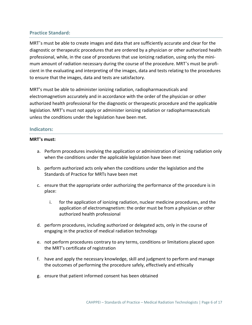#### **Practice Standard:**

MRT's must be able to create images and data that are sufficiently accurate and clear for the diagnostic or therapeutic procedures that are ordered by a physician or other authorized health professional, while, in the case of procedures that use ionizing radiation, using only the mini‐ mum amount of radiation necessary during the course of the procedure. MRT's must be profi‐ cient in the evaluating and interpreting of the images, data and tests relating to the procedures to ensure that the images, data and tests are satisfactory.

MRT's must be able to administer ionizing radiation, radiopharmaceuticals and electromagnetism accurately and in accordance with the order of the physician or other authorized health professional for the diagnostic or therapeutic procedure and the applicable legislation. MRT's must not apply or administer ionizing radiation or radiopharmaceuticals unless the conditions under the legislation have been met.

#### **Indicators:**

- a. Perform procedures involving the application or administration of ionizing radiation only when the conditions under the applicable legislation have been met
- b. perform authorized acts only when the conditions under the legislation and the Standards of Practice for MRTs have been met
- c. ensure that the appropriate order authorizing the performance of the procedure is in place:
	- i. for the application of ionizing radiation, nuclear medicine procedures, and the application of electromagnetism: the order must be from a physician or other authorized health professional
- d. perform procedures, including authorized or delegated acts, only in the course of engaging in the practice of medical radiation technology
- e. not perform procedures contrary to any terms, conditions or limitations placed upon the MRT's certificate of registration
- f. have and apply the necessary knowledge, skill and judgment to perform and manage the outcomes of performing the procedure safely, effectively and ethically
- g. ensure that patient informed consent has been obtained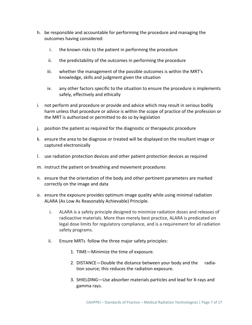- h. be responsible and accountable for performing the procedure and managing the outcomes having considered:
	- i. the known risks to the patient in performing the procedure
	- ii. the predictability of the outcomes in performing the procedure
	- iii. whether the management of the possible outcomes is within the MRT's knowledge, skills and judgment given the situation
	- iv. any other factors specific to the situation to ensure the procedure is implements safely, effectively and ethically
- i. not perform and procedure or provide and advice which may result in serious bodily harm unless that procedure or advice is within the scope of practice of the profession or the MRT is authorized or permitted to do so by legislation
- j. position the patient as required for the diagnostic or therapeutic procedure
- k. ensure the area to be diagnose or treated will be displayed on the resultant image or captured electronically
- l. use radiation protection devices and other patient protection devices as required
- m. instruct the patient on breathing and movement procedures
- n. ensure that the orientation of the body and other pertinent parameters are marked correctly on the image and data
- o. ensure the exposure provides optimum image quality while using minimal radiation ALARA (As Low As Reasonably Achievable) Principle.
	- i. ALARA is a safety principle designed to minimize radiation doses and releases of radioactive materials. More than merely best practice, ALARA is predicated on legal dose limits for regulatory compliance, and is a requirement for all radiation safety programs.
	- ii. Ensure MRTs follow the three major safety principles:
		- 1. TIME—Minimize the time of exposure.
		- 2. DISTANCE—Double the distance between your body and the radiation source; this reduces the radiation exposure.
		- 3. SHIELDING—Use absorber materials particles and lead for X‐rays and gamma rays.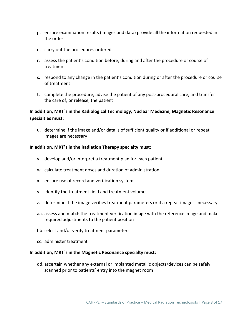- p. ensure examination results (images and data) provide all the information requested in the order
- q. carry out the procedures ordered
- r. assess the patient's condition before, during and after the procedure or course of treatment
- s. respond to any change in the patient's condition during or after the procedure or course of treatment
- t. complete the procedure, advise the patient of any post‐procedural care, and transfer the care of, or release, the patient

#### **In addition, MRT's in the Radiological Technology, Nuclear Medicine, Magnetic Resonance specialties must:**

u. determine if the image and/or data is of sufficient quality or if additional or repeat images are necessary

#### **In addition, MRT's in the Radiation Therapy specialty must:**

- v. develop and/or interpret a treatment plan for each patient
- w. calculate treatment doses and duration of administration
- x. ensure use of record and verification systems
- y. identify the treatment field and treatment volumes
- z. determine if the image verifies treatment parameters or if a repeat image is necessary
- aa. assess and match the treatment verification image with the reference image and make required adjustments to the patient position
- bb. select and/or verify treatment parameters
- cc. administer treatment

#### **In addition, MRT's in the Magnetic Resonance specialty must:**

dd. ascertain whether any external or implanted metallic objects/devices can be safely scanned prior to patients' entry into the magnet room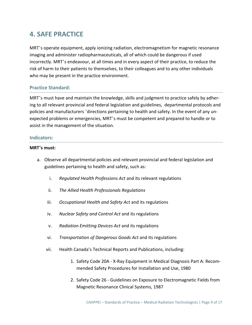# **4. SAFE PRACTICE**

MRT's operate equipment, apply ionizing radiation, electromagnetism for magnetic resonance imaging and administer radiopharmaceuticals, all of which could be dangerous if used incorrectly. MRT's endeavour, at all times and in every aspect of their practice, to reduce the risk of harm to their patients to themselves, to their colleagues and to any other individuals who may be present in the practice environment.

#### **Practice Standard:**

MRT's must have and maintain the knowledge, skills and judgment to practice safely by adher‐ ing to all relevant provincial and federal legislation and guidelines, departmental protocols and policies and manufacturers 'directions pertaining to health and safety. In the event of any un‐ expected problems or emergencies, MRT's must be competent and prepared to handle or to assist in the management of the situation.

#### **Indicators:**

- a. Observe all departmental policies and relevant provincial and federal legislation and guidelines pertaining to health and safety, such as:
	- i. *Regulated Health Professions Act* and its relevant regulations
	- ii. *The Allied Health Professionals Regulations*
	- iii. *Occupational Health and Safety Act* and its regulations
	- iv. *Nuclear Safety and Control Act* and its regulations
	- v. *Radiation Emitting Devices Act* and its regulations
	- vi. *Transportation of Dangerous Goods Act* and its regulations
	- vii. Health Canada's Technical Reports and Publications, including:
		- 1. Safety Code 20A ‐ X‐Ray Equipment in Medical Diagnosis Part A: Recom‐ mended Safety Procedures for Installation and Use, 1980
		- 2. Safety Code 26 ‐ Guidelines on Exposure to Electromagnetic Fields from Magnetic Resonance Clinical Systems, 1987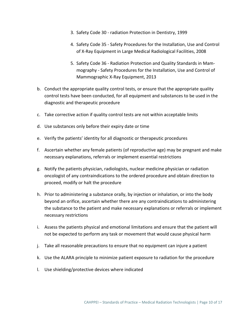- 3. Safety Code 30 ‐ radiation Protection in Dentistry, 1999
- 4. Safety Code 35 ‐ Safety Procedures for the Installation, Use and Control of X‐Ray Equipment in Large Medical Radiological Facilities, 2008
- 5. Safety Code 36 ‐ Radiation Protection and Quality Standards in Mam‐ mography ‐ Safety Procedures for the Installation, Use and Control of Mammographic X‐Ray Equipment, 2013
- b. Conduct the appropriate quality control tests, or ensure that the appropriate quality control tests have been conducted, for all equipment and substances to be used in the diagnostic and therapeutic procedure
- c. Take corrective action if quality control tests are not within acceptable limits
- d. Use substances only before their expiry date or time
- e. Verify the patients' identity for all diagnostic or therapeutic procedures
- f. Ascertain whether any female patients (of reproductive age) may be pregnant and make necessary explanations, referrals or implement essential restrictions
- g. Notify the patients physician, radiologists, nuclear medicine physician or radiation oncologist of any contraindications to the ordered procedure and obtain direction to proceed, modify or halt the procedure
- h. Prior to administering a substance orally, by injection or inhalation, or into the body beyond an orifice, ascertain whether there are any contraindications to administering the substance to the patient and make necessary explanations or referrals or implement necessary restrictions
- i. Assess the patients physical and emotional limitations and ensure that the patient will not be expected to perform any task or movement that would cause physical harm
- j. Take all reasonable precautions to ensure that no equipment can injure a patient
- k. Use the ALARA principle to minimize patient exposure to radiation for the procedure
- l. Use shielding/protective devices where indicated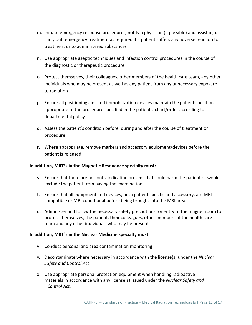- m. Initiate emergency response procedures, notify a physician (if possible) and assist in, or carry out, emergency treatment as required if a patient suffers any adverse reaction to treatment or to administered substances
- n. Use appropriate aseptic techniques and infection control procedures in the course of the diagnostic or therapeutic procedure
- o. Protect themselves, their colleagues, other members of the health care team, any other individuals who may be present as well as any patient from any unnecessary exposure to radiation
- p. Ensure all positioning aids and immobilization devices maintain the patients position appropriate to the procedure specified in the patients' chart/order according to departmental policy
- q. Assess the patient's condition before, during and after the course of treatment or procedure
- r. Where appropriate, remove markers and accessory equipment/devices before the patient is released

#### **In addition, MRT's in the Magnetic Resonance specialty must:**

- s. Ensure that there are no contraindication present that could harm the patient or would exclude the patient from having the examination
- t. Ensure that all equipment and devices, both patient specific and accessory, are MRI compatible or MRI conditional before being brought into the MRI area
- u. Administer and follow the necessary safety precautions for entry to the magnet room to protect themselves, the patient, their colleagues, other members of the health care team and any other individuals who may be present

#### **In addition, MRT's in the Nuclear Medicine specialty must:**

- v. Conduct personal and area contamination monitoring
- w. Decontaminate where necessary in accordance with the license(s) under the *Nuclear Safety and Control Act*
- x. Use appropriate personal protection equipment when handling radioactive materials in accordance with any license(s) issued under the *Nuclear Safety and Control Act.*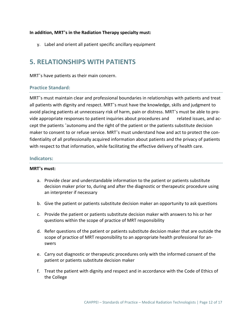#### **In addition, MRT's in the Radiation Therapy specialty must:**

y. Label and orient all patient specific ancillary equipment

## **5. RELATIONSHIPS WITH PATIENTS**

MRT's have patients as their main concern.

#### **Practice Standard:**

MRT's must maintain clear and professional boundaries in relationships with patients and treat all patients with dignity and respect. MRT's must have the knowledge, skills and judgment to avoid placing patients at unnecessary risk of harm, pain or distress. MRT's must be able to pro‐ vide appropriate responses to patient inquiries about procedures and related issues, and ac‐ cept the patients 'autonomy and the right of the patient or the patients substitute decision maker to consent to or refuse service. MRT's must understand how and act to protect the con‐ fidentiality of all professionally acquired information about patients and the privacy of patients with respect to that information, while facilitating the effective delivery of health care.

#### **Indicators:**

- a. Provide clear and understandable information to the patient or patients substitute decision maker prior to, during and after the diagnostic or therapeutic procedure using an interpreter if necessary
- b. Give the patient or patients substitute decision maker an opportunity to ask questions
- c. Provide the patient or patients substitute decision maker with answers to his or her questions within the scope of practice of MRT responsibility
- d. Refer questions of the patient or patients substitute decision maker that are outside the scope of practice of MRT responsibility to an appropriate health professional for an‐ swers
- e. Carry out diagnostic or therapeutic procedures only with the informed consent of the patient or patients substitute decision maker
- f. Treat the patient with dignity and respect and in accordance with the Code of Ethics of the College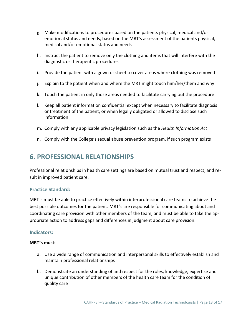- g. Make modifications to procedures based on the patients physical, medical and/or emotional status and needs, based on the MRT's assessment of the patients physical, medical and/or emotional status and needs
- h. Instruct the patient to remove only the clothing and items that will interfere with the diagnostic or therapeutic procedures
- i. Provide the patient with a gown or sheet to cover areas where clothing was removed
- j. Explain to the patient when and where the MRT might touch him/her/them and why
- k. Touch the patient in only those areas needed to facilitate carrying out the procedure
- l. Keep all patient information confidential except when necessary to facilitate diagnosis or treatment of the patient, or when legally obligated or allowed to disclose such information
- m. Comply with any applicable privacy legislation such as the *Health Information Act*
- n. Comply with the College's sexual abuse prevention program, if such program exists

# **6. PROFESSIONAL RELATIONSHIPS**

Professional relationships in health care settings are based on mutual trust and respect, and re‐ sult in improved patient care.

#### **Practice Standard:**

MRT's must be able to practice effectively within interprofessional care teams to achieve the best possible outcomes for the patient. MRT's are responsible for communicating about and coordinating care provision with other members of the team, and must be able to take the ap‐ propriate action to address gaps and differences in judgment about care provision.

#### **Indicators:**

- a. Use a wide range of communication and interpersonal skills to effectively establish and maintain professional relationships
- b. Demonstrate an understanding of and respect for the roles, knowledge, expertise and unique contribution of other members of the health care team for the condition of quality care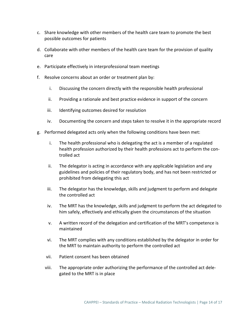- c. Share knowledge with other members of the health care team to promote the best possible outcomes for patients
- d. Collaborate with other members of the health care team for the provision of quality care
- e. Participate effectively in interprofessional team meetings
- f. Resolve concerns about an order or treatment plan by:
	- i. Discussing the concern directly with the responsible health professional
	- ii. Providing a rationale and best practice evidence in support of the concern
	- iii. Identifying outcomes desired for resolution
	- iv. Documenting the concern and steps taken to resolve it in the appropriate record
- g. Performed delegated acts only when the following conditions have been met:
	- i. The health professional who is delegating the act is a member of a regulated health profession authorized by their health professions act to perform the con‐ trolled act
	- ii. The delegator is acting in accordance with any applicable legislation and any guidelines and policies of their regulatory body, and has not been restricted or prohibited from delegating this act
	- iii. The delegator has the knowledge, skills and judgment to perform and delegate the controlled act
	- iv. The MRT has the knowledge, skills and judgment to perform the act delegated to him safely, effectively and ethically given the circumstances of the situation
	- v. A written record of the delegation and certification of the MRT's competence is maintained
	- vi. The MRT complies with any conditions established by the delegator in order for the MRT to maintain authority to perform the controlled act
	- vii. Patient consent has been obtained
	- viii. The appropriate order authorizing the performance of the controlled act dele‐ gated to the MRT is in place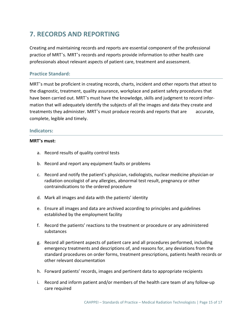# **7. RECORDS AND REPORTING**

Creating and maintaining records and reports are essential component of the professional practice of MRT's. MRT's records and reports provide information to other health care professionals about relevant aspects of patient care, treatment and assessment.

#### **Practice Standard:**

MRT's must be proficient in creating records, charts, incident and other reports that attest to the diagnostic, treatment, quality assurance, workplace and patient safety procedures that have been carried out. MRT's must have the knowledge, skills and judgment to record information that will adequately identify the subjects of all the images and data they create and treatments they administer. MRT's must produce records and reports that are accurate, complete, legible and timely.

#### **Indicators:**

- a. Record results of quality control tests
- b. Record and report any equipment faults or problems
- c. Record and notify the patient's physician, radiologists, nuclear medicine physician or radiation oncologist of any allergies, abnormal test result, pregnancy or other contraindications to the ordered procedure
- d. Mark all images and data with the patients' identity
- e. Ensure all images and data are archived according to principles and guidelines established by the employment facility
- f. Record the patients' reactions to the treatment or procedure or any administered substances
- g. Record all pertinent aspects of patient care and all procedures performed, including emergency treatments and descriptions of, and reasons for, any deviations from the standard procedures on order forms, treatment prescriptions, patients health records or other relevant documentation
- h. Forward patients' records, images and pertinent data to appropriate recipients
- i. Record and inform patient and/or members of the health care team of any follow‐up care required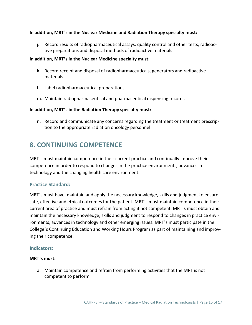#### **In addition, MRT's in the Nuclear Medicine and Radiation Therapy specialty must:**

**j.** Record results of radiopharmaceutical assays, quality control and other tests, radioac‐ tive preparations and disposal methods of radioactive materials

#### **In addition, MRT's in the Nuclear Medicine specialty must:**

- k. Record receipt and disposal of radiopharmaceuticals, generators and radioactive materials
- l. Label radiopharmaceutical preparations
- m. Maintain radiopharmaceutical and pharmaceutical dispensing records

#### **In addition, MRT's in the Radiation Therapy specialty must:**

n. Record and communicate any concerns regarding the treatment or treatment prescrip‐ tion to the appropriate radiation oncology personnel

## **8. CONTINUING COMPETENCE**

MRT's must maintain competence in their current practice and continually improve their competence in order to respond to changes in the practice environments, advances in technology and the changing health care environment.

#### **Practice Standard:**

MRT's must have, maintain and apply the necessary knowledge, skills and judgment to ensure safe, effective and ethical outcomes for the patient. MRT's must maintain competence in their current area of practice and must refrain from acting if not competent. MRT's must obtain and maintain the necessary knowledge, skills and judgment to respond to changes in practice envi‐ ronments, advances in technology and other emerging issues. MRT's must participate in the College's Continuing Education and Working Hours Program as part of maintaining and improv‐ ing their competence.

#### **Indicators:**

#### **MRT's must:**

a. Maintain competence and refrain from performing activities that the MRT is not competent to perform